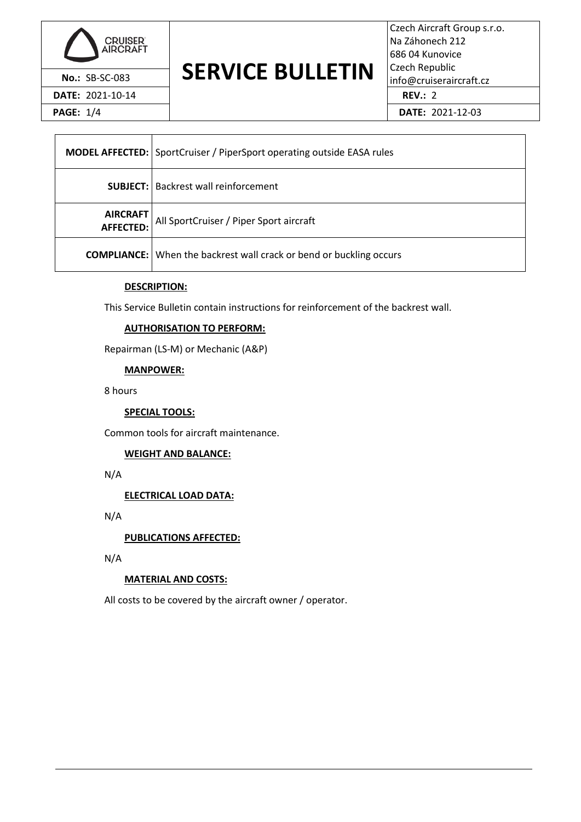

# **No.: SB-SC-083 SERVICE BULLETIN** Czech Republic info@cruiseraircraft.cz

Czech Aircraft Group s.r.o. Na Záhonech 212 686 04 Kunovice Czech Republic **DATE:** 2021-10-14 **REV.:** 2

**PAGE:** 1/4 **DATE:** 2021-12-03

|                         | <b>MODEL AFFECTED:</b> SportCruiser / PiperSport operating outside EASA rules |  |
|-------------------------|-------------------------------------------------------------------------------|--|
|                         | <b>SUBJECT:</b>   Backrest wall reinforcement                                 |  |
| AIRCRAFT<br>  AFFECTED: | All SportCruiser / Piper Sport aircraft                                       |  |
|                         | <b>COMPLIANCE:</b> When the backrest wall crack or bend or buckling occurs    |  |

## **DESCRIPTION:**

This Service Bulletin contain instructions for reinforcement of the backrest wall.

## **AUTHORISATION TO PERFORM:**

Repairman (LS-M) or Mechanic (A&P)

**MANPOWER:**

8 hours

#### **SPECIAL TOOLS:**

Common tools for aircraft maintenance.

#### **WEIGHT AND BALANCE:**

N/A

**ELECTRICAL LOAD DATA:**

N/A

**PUBLICATIONS AFFECTED:**

N/A

## **MATERIAL AND COSTS:**

All costs to be covered by the aircraft owner / operator.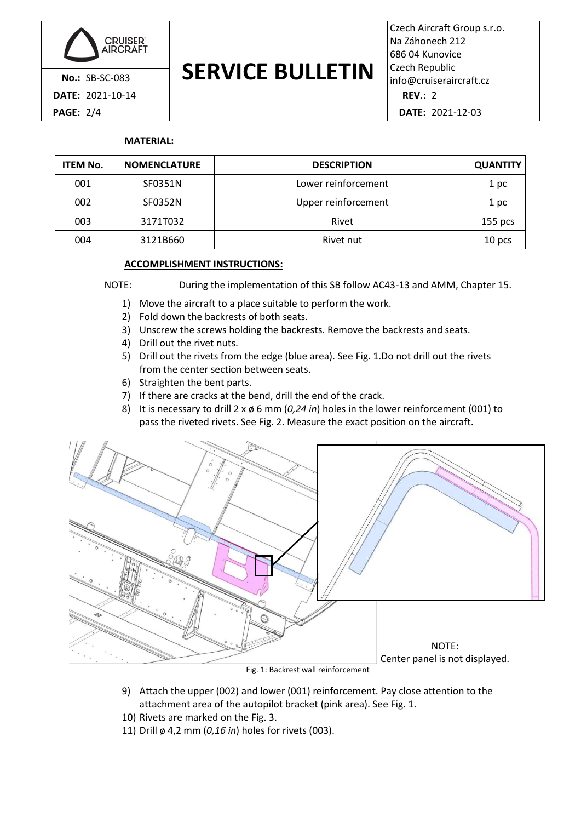

**DATE:** 2021-10-14 **REV.:** 2

### **SERVICE BULLETIN No.: SB-SC-083 DENVILE DULLE I IIV** | info@cruiseraircraft.cz

Czech Aircraft Group s.r.o. Na Záhonech 212 686 04 Kunovice Czech Republic

**PAGE:** 2/4 **DATE:** 2021-12-03

## **MATERIAL:**

| <b>ITEM No.</b> | <b>NOMENCLATURE</b> | <b>DESCRIPTION</b>  | <b>QUANTITY</b> |
|-----------------|---------------------|---------------------|-----------------|
| 001             | SF0351N             | Lower reinforcement | 1 pc            |
| 002             | SF0352N             | Upper reinforcement | 1 pc            |
| 003             | 3171T032            | Rivet               | $155$ pcs       |
| 004             | 3121B660            | Rivet nut<br>10 pcs |                 |

## **ACCOMPLISHMENT INSTRUCTIONS:**

NOTE: During the implementation of this SB follow AC43-13 and AMM, Chapter 15.

- 1) Move the aircraft to a place suitable to perform the work.
- 2) Fold down the backrests of both seats.
- 3) Unscrew the screws holding the backrests. Remove the backrests and seats.
- 4) Drill out the rivet nuts.
- 5) Drill out the rivets from the edge (blue area). Se[e Fig. 1.](#page-1-0)Do not drill out the rivets from the center section between seats.
- 6) Straighten the bent parts.
- 7) If there are cracks at the bend, drill the end of the crack.
- 8) It is necessary to drill 2 x ø 6 mm (*0,24 in*) holes in the lower reinforcement (001) to pass the riveted rivets. See [Fig. 2.](#page-2-0) Measure the exact position on the aircraft.



Fig. 1: Backrest wall reinforcement

- <span id="page-1-0"></span>9) Attach the upper (002) and lower (001) reinforcement. Pay close attention to the attachment area of the autopilot bracket (pink area). See [Fig. 1.](#page-1-0)
- 10) Rivets are marked on the [Fig. 3.](#page-2-1)
- 11) Drill ø 4,2 mm (*0,16 in*) holes for rivets (003).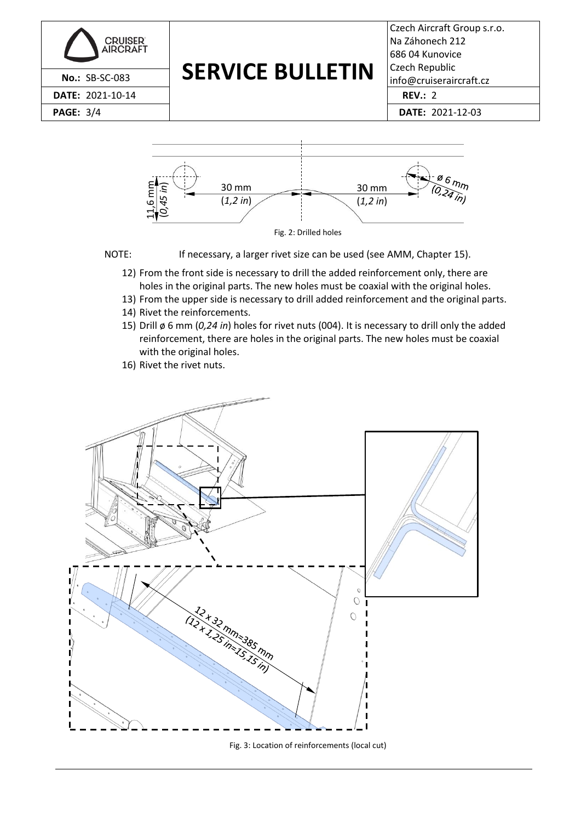



<span id="page-2-0"></span>

- 12) From the front side is necessary to drill the added reinforcement only, there are holes in the original parts. The new holes must be coaxial with the original holes.
- 13) From the upper side is necessary to drill added reinforcement and the original parts.
- 14) Rivet the reinforcements.
- 15) Drill ø 6 mm (*0,24 in*) holes for rivet nuts (004). It is necessary to drill only the added reinforcement, there are holes in the original parts. The new holes must be coaxial with the original holes.
- 16) Rivet the rivet nuts.



<span id="page-2-1"></span>Fig. 3: Location of reinforcements (local cut)